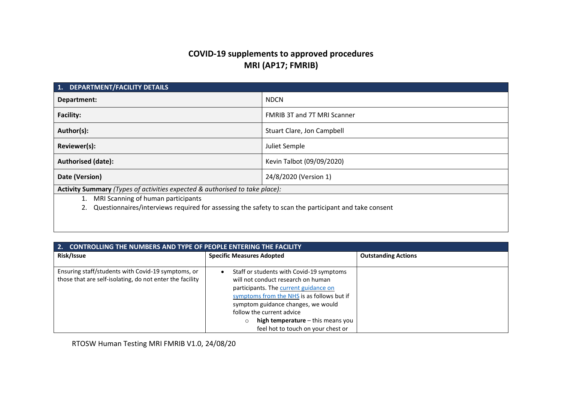# **COVID-19 supplements to approved procedures MRI (AP17; FMRIB)**

| <b>DEPARTMENT/FACILITY DETAILS</b><br>1.                                                             |                                    |  |
|------------------------------------------------------------------------------------------------------|------------------------------------|--|
| Department:                                                                                          | <b>NDCN</b>                        |  |
| <b>Facility:</b>                                                                                     | <b>FMRIB 3T and 7T MRI Scanner</b> |  |
| Author(s):                                                                                           | Stuart Clare, Jon Campbell         |  |
| Reviewer(s):                                                                                         | Juliet Semple                      |  |
| <b>Authorised (date):</b>                                                                            | Kevin Talbot (09/09/2020)          |  |
| Date (Version)                                                                                       | 24/8/2020 (Version 1)              |  |
| Activity Summary (Types of activities expected & authorised to take place):                          |                                    |  |
| MRI Scanning of human participants<br>1.                                                             |                                    |  |
| Questionnaires/interviews required for assessing the safety to scan the participant and take consent |                                    |  |
|                                                                                                      |                                    |  |

| <b>CONTROLLING THE NUMBERS AND TYPE OF PEOPLE ENTERING THE FACILITY</b><br>2.                                  |                                                                                                                                                                                                                                                                                                                     |                            |  |
|----------------------------------------------------------------------------------------------------------------|---------------------------------------------------------------------------------------------------------------------------------------------------------------------------------------------------------------------------------------------------------------------------------------------------------------------|----------------------------|--|
| Risk/Issue                                                                                                     | <b>Specific Measures Adopted</b>                                                                                                                                                                                                                                                                                    | <b>Outstanding Actions</b> |  |
| Ensuring staff/students with Covid-19 symptoms, or<br>those that are self-isolating, do not enter the facility | Staff or students with Covid-19 symptoms<br>will not conduct research on human<br>participants. The current guidance on<br>symptoms from the NHS is as follows but if<br>symptom guidance changes, we would<br>follow the current advice<br>high temperature - this means you<br>feel hot to touch on your chest or |                            |  |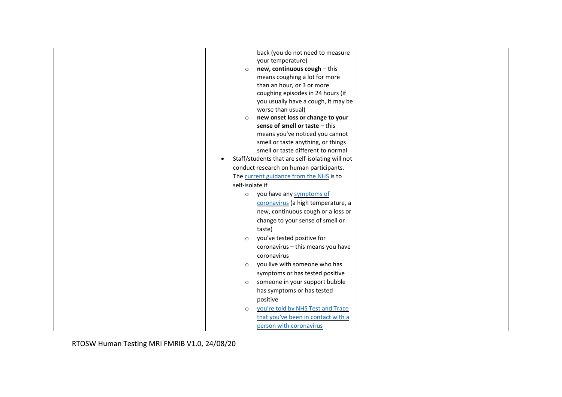|           | back (you do not need to measure                |
|-----------|-------------------------------------------------|
|           | your temperature)                               |
|           | new, continuous cough - this<br>$\circ$         |
|           | means coughing a lot for more                   |
|           | than an hour, or 3 or more                      |
|           | coughing episodes in 24 hours (if               |
|           | you usually have a cough, it may be             |
|           | worse than usual)                               |
|           | new onset loss or change to your<br>$\circ$     |
|           | sense of smell or taste - this                  |
|           | means you've noticed you cannot                 |
|           | smell or taste anything, or things              |
|           | smell or taste different to normal              |
| $\bullet$ | Staff/students that are self-isolating will not |
|           | conduct research on human participants.         |
|           | The current guidance from the NHS is to         |
|           | self-isolate if                                 |
|           | you have any symptoms of<br>$\circ$             |
|           | coronavirus (a high temperature, a              |
|           | new, continuous cough or a loss or              |
|           | change to your sense of smell or                |
|           | taste)                                          |
|           | you've tested positive for<br>$\circ$           |
|           | coronavirus - this means you have               |
|           | coronavirus                                     |
|           | you live with someone who has                   |
|           | $\circ$                                         |
|           | symptoms or has tested positive                 |
|           | someone in your support bubble<br>$\circ$       |
|           | has symptoms or has tested                      |
|           | positive                                        |
|           | you're told by NHS Test and Trace<br>$\circ$    |
|           | that you've been in contact with a              |
|           | person with coronavirus                         |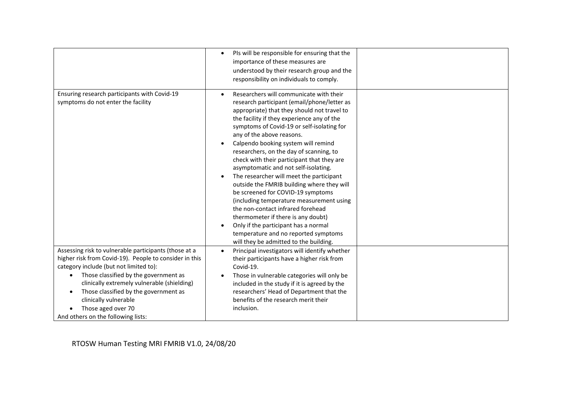|                                                                                                                                                                                                                                                                                                                                                                                              | PIs will be responsible for ensuring that the<br>importance of these measures are<br>understood by their research group and the<br>responsibility on individuals to comply.                                                                                                                                                                                                                                                                                                                                                                                                                                                                                                                                                                                                                                            |  |
|----------------------------------------------------------------------------------------------------------------------------------------------------------------------------------------------------------------------------------------------------------------------------------------------------------------------------------------------------------------------------------------------|------------------------------------------------------------------------------------------------------------------------------------------------------------------------------------------------------------------------------------------------------------------------------------------------------------------------------------------------------------------------------------------------------------------------------------------------------------------------------------------------------------------------------------------------------------------------------------------------------------------------------------------------------------------------------------------------------------------------------------------------------------------------------------------------------------------------|--|
| Ensuring research participants with Covid-19<br>symptoms do not enter the facility                                                                                                                                                                                                                                                                                                           | Researchers will communicate with their<br>research participant (email/phone/letter as<br>appropriate) that they should not travel to<br>the facility if they experience any of the<br>symptoms of Covid-19 or self-isolating for<br>any of the above reasons.<br>Calpendo booking system will remind<br>researchers, on the day of scanning, to<br>check with their participant that they are<br>asymptomatic and not self-isolating.<br>The researcher will meet the participant<br>outside the FMRIB building where they will<br>be screened for COVID-19 symptoms<br>(including temperature measurement using<br>the non-contact infrared forehead<br>thermometer if there is any doubt)<br>Only if the participant has a normal<br>temperature and no reported symptoms<br>will they be admitted to the building. |  |
| Assessing risk to vulnerable participants (those at a<br>higher risk from Covid-19). People to consider in this<br>category include (but not limited to):<br>Those classified by the government as<br>$\bullet$<br>clinically extremely vulnerable (shielding)<br>Those classified by the government as<br>clinically vulnerable<br>Those aged over 70<br>And others on the following lists: | Principal investigators will identify whether<br>$\bullet$<br>their participants have a higher risk from<br>Covid-19.<br>Those in vulnerable categories will only be<br>included in the study if it is agreed by the<br>researchers' Head of Department that the<br>benefits of the research merit their<br>inclusion.                                                                                                                                                                                                                                                                                                                                                                                                                                                                                                 |  |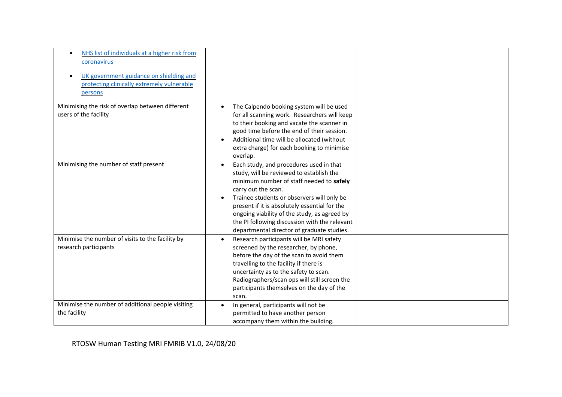| NHS list of individuals at a higher risk from<br>coronavirus<br>UK government guidance on shielding and<br>protecting clinically extremely vulnerable<br>persons |                                                                                                                                                                                                                                                                                                                                                                                                                   |  |
|------------------------------------------------------------------------------------------------------------------------------------------------------------------|-------------------------------------------------------------------------------------------------------------------------------------------------------------------------------------------------------------------------------------------------------------------------------------------------------------------------------------------------------------------------------------------------------------------|--|
| Minimising the risk of overlap between different<br>users of the facility                                                                                        | The Calpendo booking system will be used<br>for all scanning work. Researchers will keep<br>to their booking and vacate the scanner in<br>good time before the end of their session.<br>Additional time will be allocated (without<br>extra charge) for each booking to minimise<br>overlap.                                                                                                                      |  |
| Minimising the number of staff present                                                                                                                           | Each study, and procedures used in that<br>$\bullet$<br>study, will be reviewed to establish the<br>minimum number of staff needed to safely<br>carry out the scan.<br>Trainee students or observers will only be<br>present if it is absolutely essential for the<br>ongoing viability of the study, as agreed by<br>the PI following discussion with the relevant<br>departmental director of graduate studies. |  |
| Minimise the number of visits to the facility by<br>research participants                                                                                        | Research participants will be MRI safety<br>$\bullet$<br>screened by the researcher, by phone,<br>before the day of the scan to avoid them<br>travelling to the facility if there is<br>uncertainty as to the safety to scan.<br>Radiographers/scan ops will still screen the<br>participants themselves on the day of the<br>scan.                                                                               |  |
| Minimise the number of additional people visiting<br>the facility                                                                                                | In general, participants will not be<br>permitted to have another person<br>accompany them within the building.                                                                                                                                                                                                                                                                                                   |  |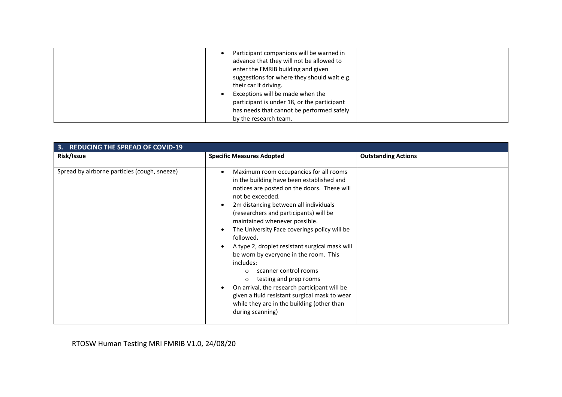| Participant companions will be warned in<br>advance that they will not be allowed to<br>enter the FMRIB building and given<br>suggestions for where they should wait e.g.<br>their car if driving.<br>Exceptions will be made when the<br>participant is under 18, or the participant<br>has needs that cannot be performed safely |  |
|------------------------------------------------------------------------------------------------------------------------------------------------------------------------------------------------------------------------------------------------------------------------------------------------------------------------------------|--|
| by the research team.                                                                                                                                                                                                                                                                                                              |  |

| <b>REDUCING THE SPREAD OF COVID-19</b><br>3. |                                                                                                                                                                                                                                                                                                                                                                                                                                                                                                                                                                                                                                                                                             |                            |  |
|----------------------------------------------|---------------------------------------------------------------------------------------------------------------------------------------------------------------------------------------------------------------------------------------------------------------------------------------------------------------------------------------------------------------------------------------------------------------------------------------------------------------------------------------------------------------------------------------------------------------------------------------------------------------------------------------------------------------------------------------------|----------------------------|--|
| Risk/Issue                                   | <b>Specific Measures Adopted</b>                                                                                                                                                                                                                                                                                                                                                                                                                                                                                                                                                                                                                                                            | <b>Outstanding Actions</b> |  |
| Spread by airborne particles (cough, sneeze) | Maximum room occupancies for all rooms<br>in the building have been established and<br>notices are posted on the doors. These will<br>not be exceeded.<br>2m distancing between all individuals<br>(researchers and participants) will be<br>maintained whenever possible.<br>The University Face coverings policy will be<br>followed.<br>A type 2, droplet resistant surgical mask will<br>be worn by everyone in the room. This<br>includes:<br>scanner control rooms<br>$\circ$<br>testing and prep rooms<br>$\circ$<br>On arrival, the research participant will be<br>given a fluid resistant surgical mask to wear<br>while they are in the building (other than<br>during scanning) |                            |  |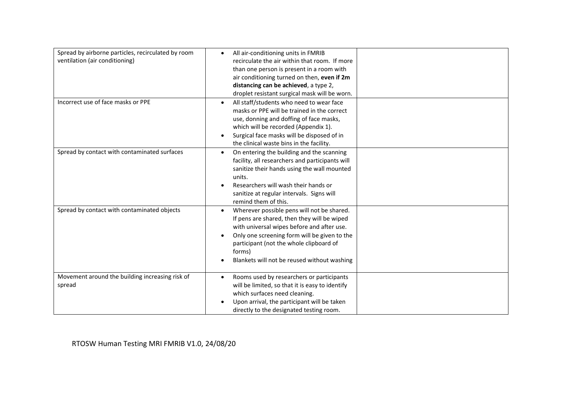| Spread by airborne particles, recirculated by room<br>ventilation (air conditioning) | All air-conditioning units in FMRIB<br>$\bullet$<br>recirculate the air within that room. If more<br>than one person is present in a room with<br>air conditioning turned on then, even if 2m<br>distancing can be achieved, a type 2,<br>droplet resistant surgical mask will be worn.                  |  |
|--------------------------------------------------------------------------------------|----------------------------------------------------------------------------------------------------------------------------------------------------------------------------------------------------------------------------------------------------------------------------------------------------------|--|
| Incorrect use of face masks or PPE                                                   | All staff/students who need to wear face<br>masks or PPE will be trained in the correct<br>use, donning and doffing of face masks,<br>which will be recorded (Appendix 1).<br>Surgical face masks will be disposed of in<br>$\bullet$<br>the clinical waste bins in the facility.                        |  |
| Spread by contact with contaminated surfaces                                         | On entering the building and the scanning<br>facility, all researchers and participants will<br>sanitize their hands using the wall mounted<br>units.<br>Researchers will wash their hands or<br>sanitize at regular intervals. Signs will<br>remind them of this.                                       |  |
| Spread by contact with contaminated objects                                          | Wherever possible pens will not be shared.<br>$\bullet$<br>If pens are shared, then they will be wiped<br>with universal wipes before and after use.<br>Only one screening form will be given to the<br>participant (not the whole clipboard of<br>forms)<br>Blankets will not be reused without washing |  |
| Movement around the building increasing risk of<br>spread                            | Rooms used by researchers or participants<br>will be limited, so that it is easy to identify<br>which surfaces need cleaning.<br>Upon arrival, the participant will be taken<br>directly to the designated testing room.                                                                                 |  |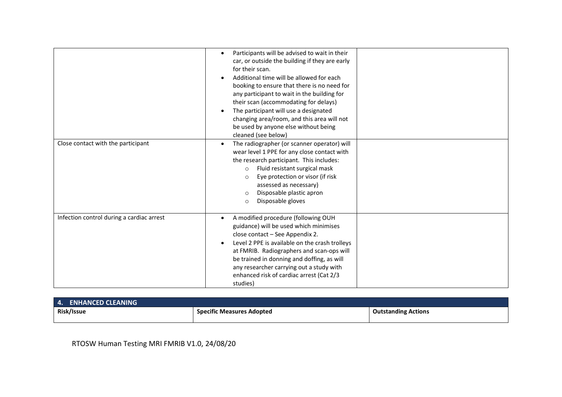|                                           | Participants will be advised to wait in their<br>car, or outside the building if they are early<br>for their scan.<br>Additional time will be allowed for each<br>booking to ensure that there is no need for<br>any participant to wait in the building for<br>their scan (accommodating for delays)<br>The participant will use a designated<br>changing area/room, and this area will not<br>be used by anyone else without being<br>cleaned (see below) |  |
|-------------------------------------------|-------------------------------------------------------------------------------------------------------------------------------------------------------------------------------------------------------------------------------------------------------------------------------------------------------------------------------------------------------------------------------------------------------------------------------------------------------------|--|
| Close contact with the participant        | The radiographer (or scanner operator) will<br>wear level 1 PPE for any close contact with<br>the research participant. This includes:<br>Fluid resistant surgical mask<br>$\circ$<br>Eye protection or visor (if risk<br>$\circ$<br>assessed as necessary)<br>Disposable plastic apron<br>$\circ$<br>Disposable gloves<br>$\circ$                                                                                                                          |  |
| Infection control during a cardiac arrest | A modified procedure (following OUH<br>guidance) will be used which minimises<br>close contact - See Appendix 2.<br>Level 2 PPE is available on the crash trolleys<br>at FMRIB. Radiographers and scan-ops will<br>be trained in donning and doffing, as will<br>any researcher carrying out a study with<br>enhanced risk of cardiac arrest (Cat 2/3<br>studies)                                                                                           |  |

| $\overline{4}$ .<br><b>ENHANCED CLEANING</b> |                           |                            |
|----------------------------------------------|---------------------------|----------------------------|
| Risk/Issue                                   | Specific Measures Adopted | <b>Outstanding Actions</b> |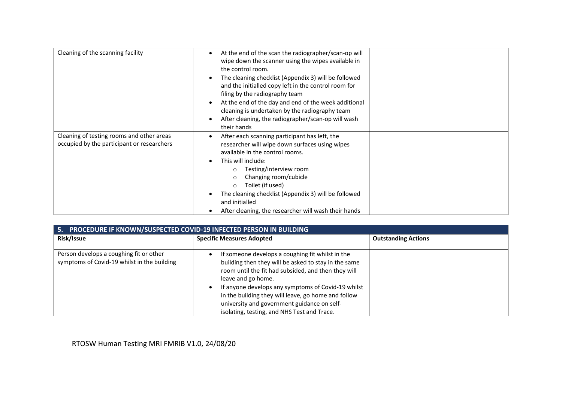| Cleaning of the scanning facility                                                       | At the end of the scan the radiographer/scan-op will<br>wipe down the scanner using the wipes available in<br>the control room.<br>The cleaning checklist (Appendix 3) will be followed<br>and the initialled copy left in the control room for<br>filing by the radiography team<br>At the end of the day and end of the week additional<br>cleaning is undertaken by the radiography team<br>After cleaning, the radiographer/scan-op will wash<br>their hands |  |
|-----------------------------------------------------------------------------------------|------------------------------------------------------------------------------------------------------------------------------------------------------------------------------------------------------------------------------------------------------------------------------------------------------------------------------------------------------------------------------------------------------------------------------------------------------------------|--|
| Cleaning of testing rooms and other areas<br>occupied by the participant or researchers | After each scanning participant has left, the<br>researcher will wipe down surfaces using wipes<br>available in the control rooms.<br>This will include:<br>Testing/interview room<br>Changing room/cubicle<br>Toilet (if used)<br>$\circ$<br>The cleaning checklist (Appendix 3) will be followed<br>and initialled<br>After cleaning, the researcher will wash their hands                                                                                     |  |

| PROCEDURE IF KNOWN/SUSPECTED COVID-19 INFECTED PERSON IN BUILDING<br>5.                |                                                                                                                                                                                                                                                                                                                                                                                                  |                            |
|----------------------------------------------------------------------------------------|--------------------------------------------------------------------------------------------------------------------------------------------------------------------------------------------------------------------------------------------------------------------------------------------------------------------------------------------------------------------------------------------------|----------------------------|
| Risk/Issue                                                                             | <b>Specific Measures Adopted</b>                                                                                                                                                                                                                                                                                                                                                                 | <b>Outstanding Actions</b> |
| Person develops a coughing fit or other<br>symptoms of Covid-19 whilst in the building | If someone develops a coughing fit whilst in the<br>building then they will be asked to stay in the same<br>room until the fit had subsided, and then they will<br>leave and go home.<br>If anyone develops any symptoms of Covid-19 whilst<br>in the building they will leave, go home and follow<br>university and government guidance on self-<br>isolating, testing, and NHS Test and Trace. |                            |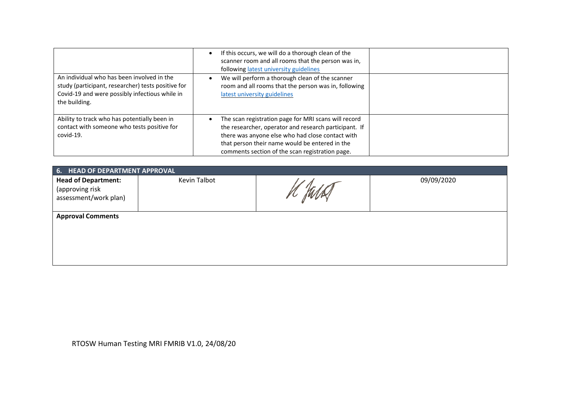|                                                                                                                                                                     | If this occurs, we will do a thorough clean of the<br>scanner room and all rooms that the person was in,<br>following latest university guidelines                                                                                                                     |  |
|---------------------------------------------------------------------------------------------------------------------------------------------------------------------|------------------------------------------------------------------------------------------------------------------------------------------------------------------------------------------------------------------------------------------------------------------------|--|
| An individual who has been involved in the<br>study (participant, researcher) tests positive for<br>Covid-19 and were possibly infectious while in<br>the building. | We will perform a thorough clean of the scanner<br>room and all rooms that the person was in, following<br>latest university guidelines                                                                                                                                |  |
| Ability to track who has potentially been in<br>contact with someone who tests positive for<br>covid-19.                                                            | The scan registration page for MRI scans will record<br>the researcher, operator and research participant. If<br>there was anyone else who had close contact with<br>that person their name would be entered in the<br>comments section of the scan registration page. |  |

| 6. HEAD OF DEPARTMENT APPROVAL                                         |              |  |            |  |  |  |  |  |  |
|------------------------------------------------------------------------|--------------|--|------------|--|--|--|--|--|--|
| <b>Head of Department:</b><br>(approving risk<br>assessment/work plan) | Kevin Talbot |  | 09/09/2020 |  |  |  |  |  |  |
| <b>Approval Comments</b>                                               |              |  |            |  |  |  |  |  |  |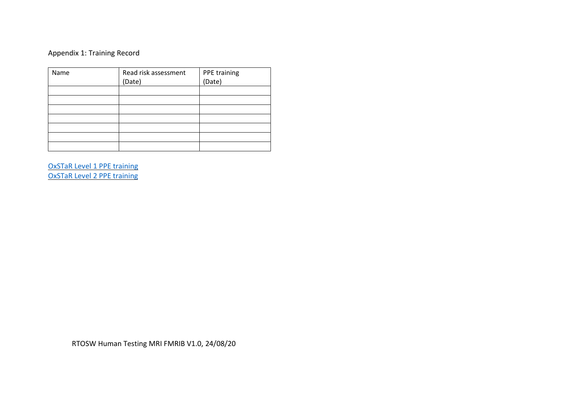# Appendix 1: Training Record

| Name | Read risk assessment | PPE training |
|------|----------------------|--------------|
|      | (Date)               | (Date)       |
|      |                      |              |
|      |                      |              |
|      |                      |              |
|      |                      |              |
|      |                      |              |
|      |                      |              |
|      |                      |              |

OxSTaR [Level 1 PPE training](https://www.oxstar.ox.ac.uk/covid-19/personal-protective-equipment-ppe/ppe) [OxSTaR Level 2 PPE training](https://www.oxstar.ox.ac.uk/covid-19/personal-protective-equipment-ppe/copy_of_ppe)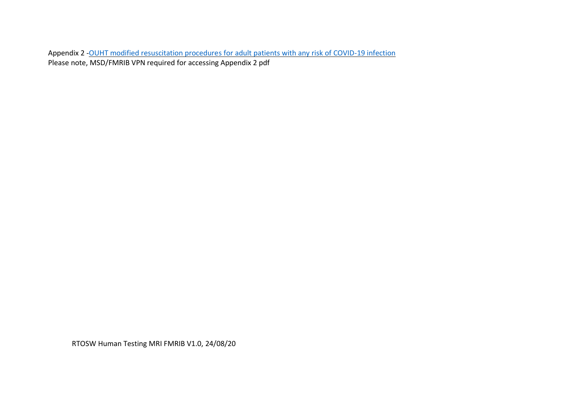Appendix 2 - OUHT modified resuscitation procedures [for adult patients with any risk of COVID-19 infection](http://ouh.oxnet.nhs.uk/Resuscitation/Document%20Library/COVID-19/OUH_Emergency_Procedures_for_Adult_Patients.pdf) Please note, MSD/FMRIB VPN required for accessing Appendix 2 pdf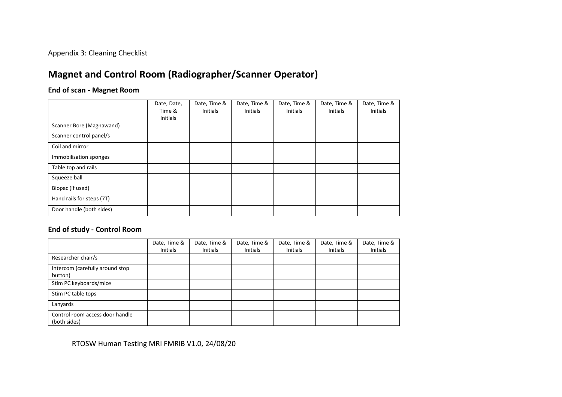Appendix 3: Cleaning Checklist

# **Magnet and Control Room (Radiographer/Scanner Operator)**

#### **End of scan - Magnet Room**

|                           | Date, Date,<br>Time &<br><b>Initials</b> | Date, Time &<br><b>Initials</b> | Date, Time &<br>Initials | Date, Time &<br><b>Initials</b> | Date, Time &<br><b>Initials</b> | Date, Time &<br>Initials |
|---------------------------|------------------------------------------|---------------------------------|--------------------------|---------------------------------|---------------------------------|--------------------------|
| Scanner Bore (Magnawand)  |                                          |                                 |                          |                                 |                                 |                          |
| Scanner control panel/s   |                                          |                                 |                          |                                 |                                 |                          |
| Coil and mirror           |                                          |                                 |                          |                                 |                                 |                          |
| Immobilisation sponges    |                                          |                                 |                          |                                 |                                 |                          |
| Table top and rails       |                                          |                                 |                          |                                 |                                 |                          |
| Squeeze ball              |                                          |                                 |                          |                                 |                                 |                          |
| Biopac (if used)          |                                          |                                 |                          |                                 |                                 |                          |
| Hand rails for steps (7T) |                                          |                                 |                          |                                 |                                 |                          |
| Door handle (both sides)  |                                          |                                 |                          |                                 |                                 |                          |

#### **End of study - Control Room**

|                                                 | Date, Time &<br><b>Initials</b> | Date, Time &<br><b>Initials</b> | Date, Time &<br>Initials | Date, Time &<br>Initials | Date, Time &<br>Initials | Date, Time &<br><b>Initials</b> |
|-------------------------------------------------|---------------------------------|---------------------------------|--------------------------|--------------------------|--------------------------|---------------------------------|
| Researcher chair/s                              |                                 |                                 |                          |                          |                          |                                 |
| Intercom (carefully around stop<br>button)      |                                 |                                 |                          |                          |                          |                                 |
| Stim PC keyboards/mice                          |                                 |                                 |                          |                          |                          |                                 |
| Stim PC table tops                              |                                 |                                 |                          |                          |                          |                                 |
| Lanyards                                        |                                 |                                 |                          |                          |                          |                                 |
| Control room access door handle<br>(both sides) |                                 |                                 |                          |                          |                          |                                 |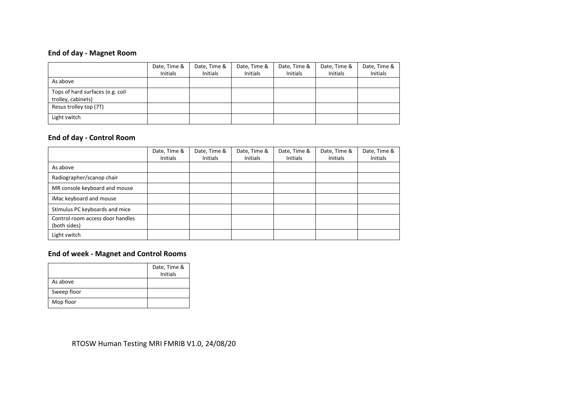### **End of day - Magnet Room**

|                                                        | Date, Time &<br>Initials | Date, Time &<br>Initials | Date, Time &<br>Initials | Date, Time &<br><b>Initials</b> | Date, Time &<br>Initials | Date, Time &<br>Initials |
|--------------------------------------------------------|--------------------------|--------------------------|--------------------------|---------------------------------|--------------------------|--------------------------|
| As above                                               |                          |                          |                          |                                 |                          |                          |
| Tops of hard surfaces (e.g. coil<br>trolley, cabinets) |                          |                          |                          |                                 |                          |                          |
| Resus trolley top (7T)                                 |                          |                          |                          |                                 |                          |                          |
| Light switch                                           |                          |                          |                          |                                 |                          |                          |

### **End of day - Control Room**

|                                                  | Date, Time &<br><b>Initials</b> | Date, Time &<br><b>Initials</b> | Date, Time &<br><b>Initials</b> | Date, Time &<br><b>Initials</b> | Date, Time &<br>Initials | Date, Time &<br>Initials |
|--------------------------------------------------|---------------------------------|---------------------------------|---------------------------------|---------------------------------|--------------------------|--------------------------|
| As above                                         |                                 |                                 |                                 |                                 |                          |                          |
| Radiographer/scanop chair                        |                                 |                                 |                                 |                                 |                          |                          |
| MR console keyboard and mouse                    |                                 |                                 |                                 |                                 |                          |                          |
| iMac keyboard and mouse                          |                                 |                                 |                                 |                                 |                          |                          |
| Stimulus PC keyboards and mice                   |                                 |                                 |                                 |                                 |                          |                          |
| Control room access door handles<br>(both sides) |                                 |                                 |                                 |                                 |                          |                          |
| Light switch                                     |                                 |                                 |                                 |                                 |                          |                          |

### **End of week - Magnet and Control Rooms**

|             | Date, Time &    |
|-------------|-----------------|
|             | <b>Initials</b> |
| As above    |                 |
| Sweep floor |                 |
| Mop floor   |                 |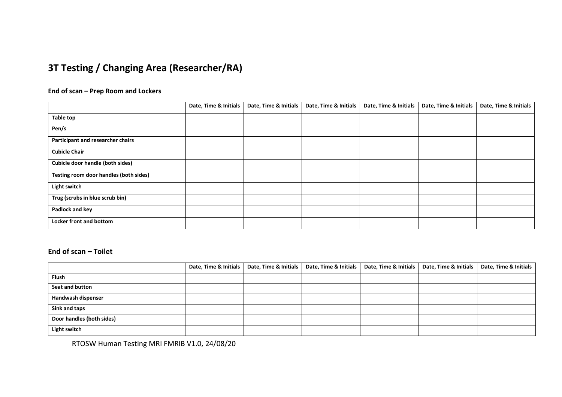# **3T Testing / Changing Area (Researcher/RA)**

#### **End of scan – Prep Room and Lockers**

|                                        | Date, Time & Initials | Date, Time & Initials | Date, Time & Initials | Date, Time & Initials | Date, Time & Initials | Date, Time & Initials |
|----------------------------------------|-----------------------|-----------------------|-----------------------|-----------------------|-----------------------|-----------------------|
| Table top                              |                       |                       |                       |                       |                       |                       |
| Pen/s                                  |                       |                       |                       |                       |                       |                       |
| Participant and researcher chairs      |                       |                       |                       |                       |                       |                       |
| <b>Cubicle Chair</b>                   |                       |                       |                       |                       |                       |                       |
| Cubicle door handle (both sides)       |                       |                       |                       |                       |                       |                       |
| Testing room door handles (both sides) |                       |                       |                       |                       |                       |                       |
| Light switch                           |                       |                       |                       |                       |                       |                       |
| Trug (scrubs in blue scrub bin)        |                       |                       |                       |                       |                       |                       |
| Padlock and key                        |                       |                       |                       |                       |                       |                       |
| Locker front and bottom                |                       |                       |                       |                       |                       |                       |

#### **End of scan – Toilet**

|                           | Date, Time & Initials | Date, Time & Initials | Date, Time & Initials   Date, Time & Initials   Date, Time & Initials | Date, Time & Initials |
|---------------------------|-----------------------|-----------------------|-----------------------------------------------------------------------|-----------------------|
| Flush                     |                       |                       |                                                                       |                       |
| Seat and button           |                       |                       |                                                                       |                       |
| Handwash dispenser        |                       |                       |                                                                       |                       |
| Sink and taps             |                       |                       |                                                                       |                       |
| Door handles (both sides) |                       |                       |                                                                       |                       |
| Light switch              |                       |                       |                                                                       |                       |